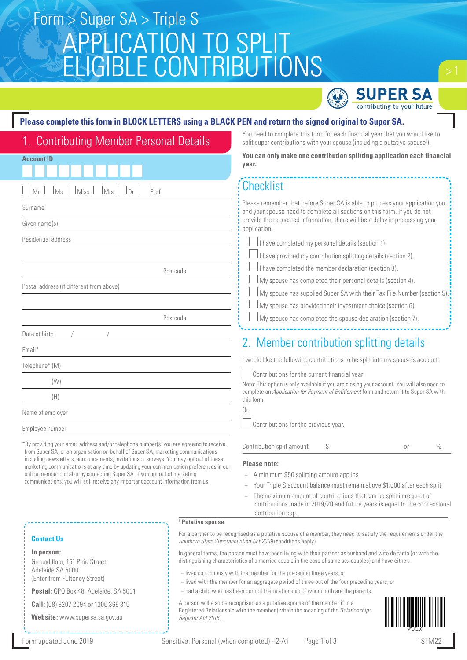# APPLICATION TO SPLIT ELIGIBLE CONTRIBUTIONS Form > Super SA > Triple S



You need to complete this form for each financial year that you would like to split super contributions with your spouse (including a putative spouse<sup>1</sup>).

#### **Please complete this form in BLOCK LETTERS using a BLACK PEN and return the signed original to Super SA.**

## 1. Contributing Member Personal Details

| You can only make one contribution splitting application each financial<br><b>Account ID</b><br>year.                                                                            |                                                                                                                                                                                                                                                          |  |  |  |
|----------------------------------------------------------------------------------------------------------------------------------------------------------------------------------|----------------------------------------------------------------------------------------------------------------------------------------------------------------------------------------------------------------------------------------------------------|--|--|--|
|                                                                                                                                                                                  |                                                                                                                                                                                                                                                          |  |  |  |
| Mrs<br>Prof<br>Ms<br>Miss<br>Dr<br>Mr                                                                                                                                            | <b>Checklist</b>                                                                                                                                                                                                                                         |  |  |  |
| Surname                                                                                                                                                                          | Please remember that before Super SA is able to process your application you<br>and your spouse need to complete all sections on this form. If you do not<br>provide the requested information, there will be a delay in processing your<br>application. |  |  |  |
| Given name(s)                                                                                                                                                                    |                                                                                                                                                                                                                                                          |  |  |  |
| Residential address                                                                                                                                                              | I have completed my personal details (section 1).                                                                                                                                                                                                        |  |  |  |
|                                                                                                                                                                                  | I have provided my contribution splitting details (section 2).                                                                                                                                                                                           |  |  |  |
| Postcode                                                                                                                                                                         | I have completed the member declaration (section 3).                                                                                                                                                                                                     |  |  |  |
| Postal address (if different from above)                                                                                                                                         | My spouse has completed their personal details (section 4).                                                                                                                                                                                              |  |  |  |
|                                                                                                                                                                                  | My spouse has supplied Super SA with their Tax File Number (section 5).                                                                                                                                                                                  |  |  |  |
|                                                                                                                                                                                  | My spouse has provided their investment choice (section 6).                                                                                                                                                                                              |  |  |  |
| Postcode                                                                                                                                                                         | My spouse has completed the spouse declaration (section 7).                                                                                                                                                                                              |  |  |  |
| Date of birth                                                                                                                                                                    |                                                                                                                                                                                                                                                          |  |  |  |
| Email*                                                                                                                                                                           | 2. Member contribution splitting details                                                                                                                                                                                                                 |  |  |  |
| Telephone* (M)                                                                                                                                                                   | I would like the following contributions to be split into my spouse's account:                                                                                                                                                                           |  |  |  |
| (W)                                                                                                                                                                              | Contributions for the current financial year<br>Note: This option is only available if you are closing your account. You will also need to                                                                                                               |  |  |  |
| (H)                                                                                                                                                                              | complete an Application for Payment of Entitlement form and return it to Super SA with<br>this form.                                                                                                                                                     |  |  |  |
| Name of employer                                                                                                                                                                 | 0r                                                                                                                                                                                                                                                       |  |  |  |
| Employee number                                                                                                                                                                  | Contributions for the previous year.                                                                                                                                                                                                                     |  |  |  |
| *By providing your email address and/or telephone number(s) you are agreeing to receive,<br>from Super SA, or an organisation on behalf of Super SA, marketing communications    | Contribution split amount<br>$\%$<br>\$<br>0r                                                                                                                                                                                                            |  |  |  |
| including newsletters, announcements, invitations or surveys. You may opt out of these<br>marketing communications at any time by updating your communication preferences in our | Please note:                                                                                                                                                                                                                                             |  |  |  |

- − A minimum \$50 splitting amount applies
- − Your Triple S account balance must remain above \$1,000 after each split
- The maximum amount of contributions that can be split in respect of contributions made in 2019/20 and future years is equal to the concessional contribution cap.

#### **Contact Us**

**In person:**

Ground floor, 151 Pirie Street Adelaide SA 5000 (Enter from Pulteney Street)

**Postal:** GPO Box 48, Adelaide, SA 5001

online member portal or by contacting Super SA. If you opt out of marketing communications, you will still receive any important account information from us.

**Call:** (08) 8207 2094 or 1300 369 315

**Website:** www.supersa.sa.gov.au

**1 Putative spouse**

For a partner to be recognised as a putative spouse of a member, they need to satisfy the requirements under the *Southern State Superannuation Act 2009* (conditions apply).

In general terms, the person must have been living with their partner as husband and wife de facto (or with the distinguishing characteristics of a married couple in the case of same sex couples) and have either:

- lived continuously with the member for the preceding three years, or
- lived with the member for an aggregate period of three out of the four preceding years, or
- had a child who has been born of the relationship of whom both are the parents.

A person will also be recognised as a putative spouse of the member if in a Registered Relationship with the member (within the meaning of the *Relationships Register Act 2016* ).

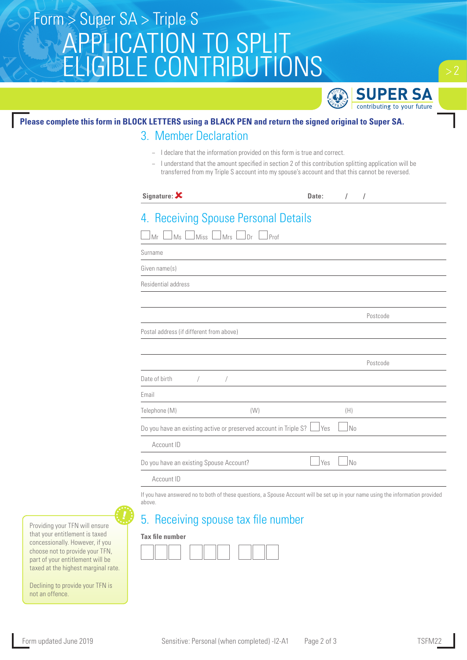# APPLICATION TO SPLIT ELIGIBLE CONTRIBUTIONS Form > Super SA > Triple S



## **Please complete this form in BLOCK LETTERS using a BLACK PEN and return the signed original to Super SA.**

### 3. Member Declaration

- − I declare that the information provided on this form is true and correct.
- − I understand that the amount specified in section 2 of this contribution splitting application will be transferred from my Triple S account into my spouse's account and that this cannot be reversed.

| Signature: X                             |                                                                   | Date: | $\sqrt{2}$ | $\sqrt{ }$ |
|------------------------------------------|-------------------------------------------------------------------|-------|------------|------------|
| Ms<br>Miss<br>Mr                         | 4. Receiving Spouse Personal Details<br>JMrs l<br>.<br>Dr<br>Prof |       |            |            |
| Surname                                  |                                                                   |       |            |            |
| Given name(s)                            |                                                                   |       |            |            |
| Residential address                      |                                                                   |       |            |            |
|                                          |                                                                   |       |            | Postcode   |
| Postal address (if different from above) |                                                                   |       |            |            |
|                                          |                                                                   |       |            | Postcode   |
| Date of birth<br>$\sqrt{2}$              |                                                                   |       |            |            |
| Email                                    |                                                                   |       |            |            |
| Telephone (M)                            | (W)                                                               |       | (H)        |            |
|                                          | Do you have an existing active or preserved account in Triple S?  | Yes   | No         |            |
| Account ID                               |                                                                   |       |            |            |
| Do you have an existing Spouse Account?  |                                                                   | Yes   | No         |            |
| Account ID                               |                                                                   |       |            |            |

If you have answered no to both of these questions, a Spouse Account will be set up in your name using the information provided above.

## 5. Receiving spouse tax file number

#### **Tax file number**



Providing your TFN will ensure that your entitlement is taxed concessionally. However, if you choose not to provide your TFN, part of your entitlement will be taxed at the highest marginal rate.

Declining to provide your TFN is not an offence.